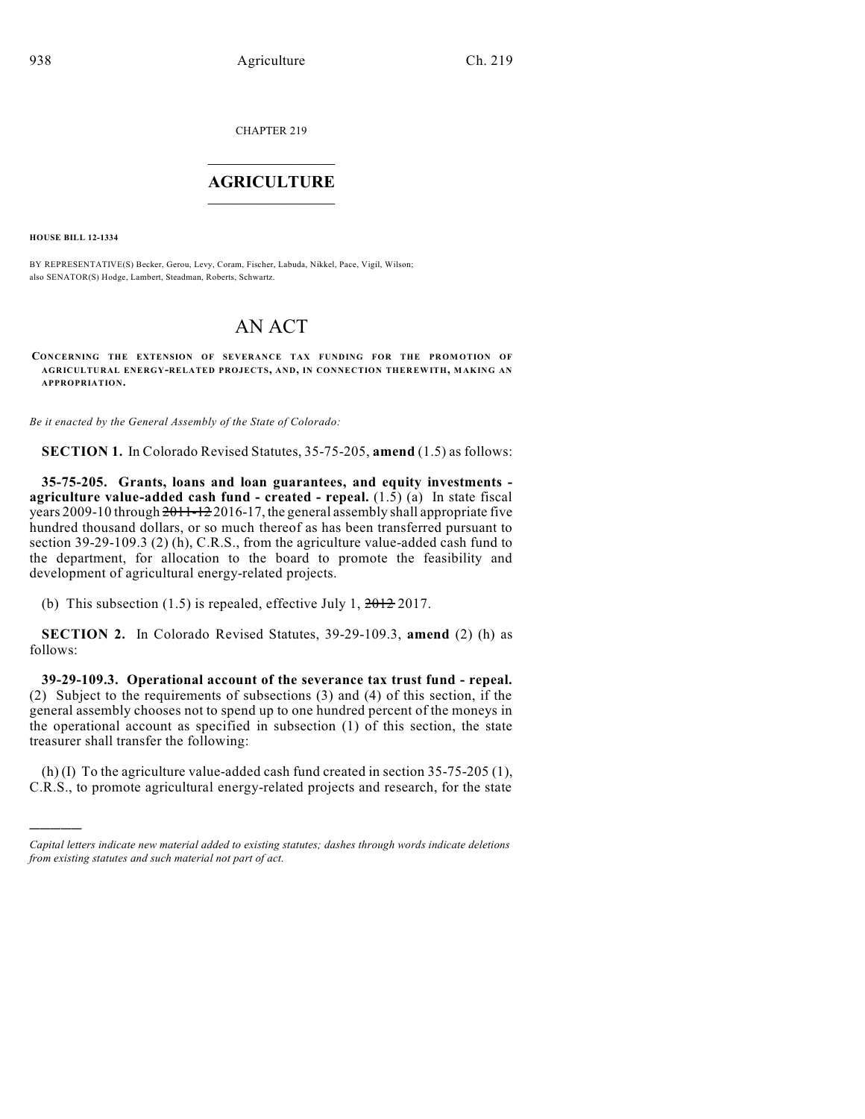CHAPTER 219

## $\mathcal{L}_\text{max}$  . The set of the set of the set of the set of the set of the set of the set of the set of the set of the set of the set of the set of the set of the set of the set of the set of the set of the set of the set **AGRICULTURE**  $\_$   $\_$   $\_$   $\_$   $\_$   $\_$   $\_$   $\_$

**HOUSE BILL 12-1334**

)))))

BY REPRESENTATIVE(S) Becker, Gerou, Levy, Coram, Fischer, Labuda, Nikkel, Pace, Vigil, Wilson; also SENATOR(S) Hodge, Lambert, Steadman, Roberts, Schwartz.

## AN ACT

**CONCERNING THE EXTENSION OF SEVERANCE TAX FUNDING FOR THE PROM OTION OF AGRICULTURAL ENERGY-RELATED PROJECTS, AND, IN CONNECTION THEREWITH, MAKING AN APPROPRIATION.**

*Be it enacted by the General Assembly of the State of Colorado:*

**SECTION 1.** In Colorado Revised Statutes, 35-75-205, **amend** (1.5) as follows:

**35-75-205. Grants, loans and loan guarantees, and equity investments agriculture value-added cash fund - created - repeal.** (1.5) (a) In state fiscal years 2009-10 through  $2011-12$  2016-17, the general assembly shall appropriate five hundred thousand dollars, or so much thereof as has been transferred pursuant to section 39-29-109.3 (2) (h), C.R.S., from the agriculture value-added cash fund to the department, for allocation to the board to promote the feasibility and development of agricultural energy-related projects.

(b) This subsection (1.5) is repealed, effective July 1,  $2012$  2017.

**SECTION 2.** In Colorado Revised Statutes, 39-29-109.3, **amend** (2) (h) as follows:

**39-29-109.3. Operational account of the severance tax trust fund - repeal.** (2) Subject to the requirements of subsections (3) and (4) of this section, if the general assembly chooses not to spend up to one hundred percent of the moneys in the operational account as specified in subsection (1) of this section, the state treasurer shall transfer the following:

(h) (I) To the agriculture value-added cash fund created in section 35-75-205 (1), C.R.S., to promote agricultural energy-related projects and research, for the state

*Capital letters indicate new material added to existing statutes; dashes through words indicate deletions from existing statutes and such material not part of act.*